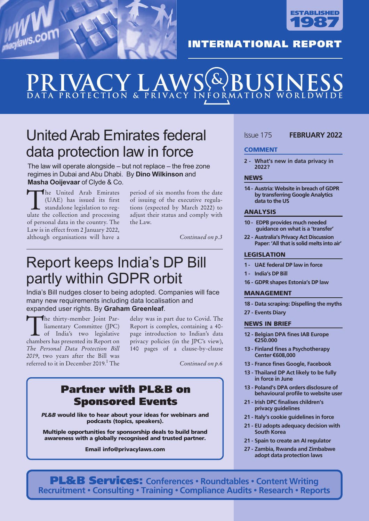



#### **INTERNATIONAL REPORT**

## $\blacksquare$   $\blacksquare$   $\blacktriangle$ DATA PROTECTION & PRIVACY INFORMATION WORLDW

## UnitedArab Emirates federal data protection law in force

The law will operate alongside – but not replace – the free zone regimes in Dubai and Abu Dhabi. By **Dino Wilkinson** and **Masha Ooijevaar** of Clyde & Co.

The United Arab Emirates (UAE) has issued its first standalone legislation to regulate the collection and processing of personal data in the country. The Law is in effect from 2 January 2022, although organisations will have a

period of six months from the date of issuing of the executive regulations (expected by March 2022) to adjust their status and comply with the Law.

*Continued on p.3*

### Report keeps India's DP Bill partly within GDPR orbit

India's Bill nudges closer to being adopted. Companies will face many new requirements including data localisation and expanded user rights. By **Graham Greenleaf**.

The thirty-member Joint Par-<br>
liamentary Committee (JPC)<br>
of India's two legislative<br>
chambers has presented its Report on liamentary Committee (JPC) chambers has presented its Report on *The Personal Data Protection Bill 2019*, two years after the Bill was referred to it in December 2019. <sup>1</sup> The

delay was in part due to Covid. The Report is complex, containing a 40 page introduction to Indian's data privacy policies (in the JPC's view), 140 pages of a clause-by-clause

*Continued on p.6*

#### Partner with PL&B on Sponsored Events

*PL&B* would like to hear about your ideas for webinars and podcasts (topics, speakers).

Multiple opportunities for sponsorship deals to build brand awareness with a globally recognised and trusted partner.

Email info@privacylaws.com

#### Issue 175 **FEBRUARY 2022**

#### **COMMENT**

**2 - What's new in data privacy in 2022?**

#### **NEWS**

**14 - Austria: Website in breach of GDPR by transferring Google Analytics data to the US**

#### ANALYSIS

- **10 - EDPB provides much needed guidance on what is a 'transfer'**
- **22 - Australia's Privacy Act Discussion Paper: 'All that is solid melts into air'**

#### LEGISLATION

- **1 - UAE federal DP law in force**
- **1 - India's DP Bill**
- **16 - GDPR shapes Estonia's DP law**

#### MANAGEMENT

- **18 - Data scraping: Dispelling the myths**
- **27 - Events Diary**

#### NEWS IN BRIEF

- **12 - Belgian DPA fines IAB Europe €250.000**
- **13 - Finland fines a Psychotherapy Center €608,000**
- **13 - France fines Google, Facebook**
- **13 - Thailand DP Act likely to be fully in force in June**
- **13 - Poland's DPA orders disclosure of behavioural profile to website user**
- **21 - Irish DPC finalises children's privacy guidelines**
- **21 - Italy's cookie guidelines in force**
- **21 - EU adopts adequacy decision with South Korea**
- **21 - Spain to create an AI regulator**
- **27 - Zambia, Rwanda and Zimbabwe adopt data protection laws**

PL&B Services: **Conferences • Roundtables • Content Writing Recruitment • Consulting • Training • Compliance Audits • Research • Reports**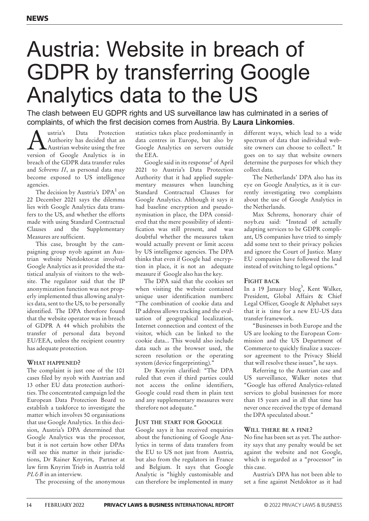# Austria: Website in breach of GDPR by transferring Google Analytics data to the US

The clash between EU GDPR rights and US surveillance law has culminated in a series of complaints, of which the first decision comes from Austria. By **Laura Linkomies**.

Austria's Data Protection<br>Authority has decided that an<br>Neurain website using the free Authority has decided that an version of Google Analytics is in breach of the GDPR data transfer rules and *Schrems II*, as personal data may become exposed to US intelligence agencies.

The decision by Austria's DPA<sup>1</sup> on 22 December 2021 says the dilemma lies with Google Analytics data transfers to the US, and whether the efforts made with using Standard Contractual Clauses and the Supplementary Measures are sufficient.

This case, brought by the campaigning group nyob against an Austrian website Netdoktor.at involved Google Analytics as it provided the statistical analysis of visitors to the website. The regulator said that the IP anonymization function was not properly implemented thus allowing analytics data, sent to the US, to be personally identified. The DPA therefore found that the website operator was in breach of GDPR A 44 which prohibits the transfer of personal data beyond EU/EEA, unless the recipient country has adequate protection.

#### **what happeneD?**

The complaint is just one of the 101 cases filed by nyob with Austrian and 13 other EU data protection authorities. The concentrated campaign led the European Data Protection Board to establish a taskforce to investigate the matter which involves 50 organisations that use Google Analytics. In this decision, Austria's DPA determined that Google Analytics was the processor, but it is not certain how other DPAs will see this matter in their jurisdictions, Dr Rainer Knyrim, Partner at law firm Knyrim Trieb in Austria told *PL&B* in an interview.

The processing of the anonymous

statistics takes place predominantly in data centres in Europe, but also by Google Analytics on servers outside the EEA.

Google said in its response<sup>2</sup> of April 2021 to Austria's Data Protection Authority that it had applied supplementary measures when launching Standard Contractual Clauses for Google Analytics. Although it says it had baseline encryption and pseudonymisation in place, the DPA considered that the mere possibility of identification was still present, and was doubtful whether the measures taken would actually prevent or limit access by US intelligence agencies. The DPA thinks that even if Google had encryption in place, it is not an adequate measure if Google also has the key.

The DPA said that the cookies set when visiting the website contained unique user identification numbers: "The combination of cookie data and IP address allows tracking and the evaluation of geographical localization, Internet connection and context of the visitor, which can be linked to the cookie data... This would also include data such as the browser used, the screen resolution or the operating system (device fingerprinting)."

Dr Knyrim clarified: "The DPA ruled that even if third parties could not access the online identifiers, Google could read them in plain text and any supplementary measures were therefore not adequate."

#### **juSt the Start for googLe**

Google says it has received enquiries about the functioning of Google Analytics in terms of data transfers from the EU to US not just from Austria, but also from the regulators in France and Belgium. It says that Google Analytic is "highly customisable and can therefore be implemented in many

different ways, which lead to a wide spectrum of data that individual website owners can choose to collect." It goes on to say that website owners determine the purposes for which they collect data.

The Netherlands' DPA also has its eye on Google Analytics, as it is currently investigating two complaints about the use of Google Analytics in the Netherlands.

Max Schrems, honorary chair of noyb.eu said: "Instead of actually adapting services to be GDPR compliant, US companies have tried to simply add some text to their privacy policies and ignore the Court of Justice. Many EU companies have followed the lead instead of switching to legal options."

#### **fight bacK**

In a 19 January blog<sup>3</sup>, Kent Walker, President, Global Affairs & Chief Legal Officer, Google & Alphabet says that it is time for a new EU-US data transfer framework.

"Businesses in both Europe and the US are looking to the European Commission and the US Department of Commerce to quickly finalize a successor agreement to the Privacy Shield that will resolve these issues", he says.

Referring to the Austrian case and US surveillance, Walker notes that "Google has offered Analytics-related services to global businesses for more than 15 years and in all that time has never once received the type of demand the DPA speculated about."

#### **wiLL there be a fine?**

No fine has been set as yet. The authority says that any penalty would be set against the website and not Google, which is regarded as a "processor" in this case.

Austria's DPA has not been able to set a fine against Netdoktor as it had